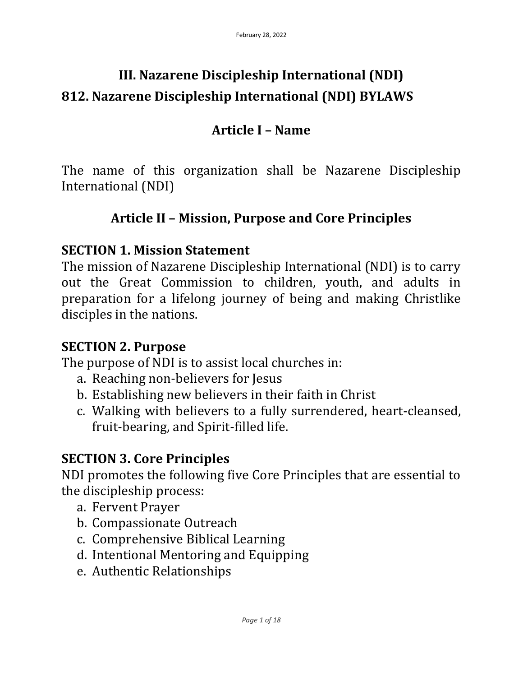# **III. Nazarene Discipleship International (NDI) 812. Nazarene Discipleship International (NDI) BYLAWS**

### **Article I – Name**

The name of this organization shall be Nazarene Discipleship International (NDI)

## **Article II – Mission, Purpose and Core Principles**

### **SECTION 1. Mission Statement**

The mission of Nazarene Discipleship International (NDI) is to carry out the Great Commission to children, youth, and adults in preparation for a lifelong journey of being and making Christlike disciples in the nations.

### **SECTION 2. Purpose**

The purpose of NDI is to assist local churches in:

- a. Reaching non-believers for Jesus
- b. Establishing new believers in their faith in Christ
- c. Walking with believers to a fully surrendered, heart-cleansed, fruit-bearing, and Spirit-filled life.

### **SECTION 3. Core Principles**

NDI promotes the following five Core Principles that are essential to the discipleship process:

- a. Fervent Prayer
- b. Compassionate Outreach
- c. Comprehensive Biblical Learning
- d. Intentional Mentoring and Equipping
- e. Authentic Relationships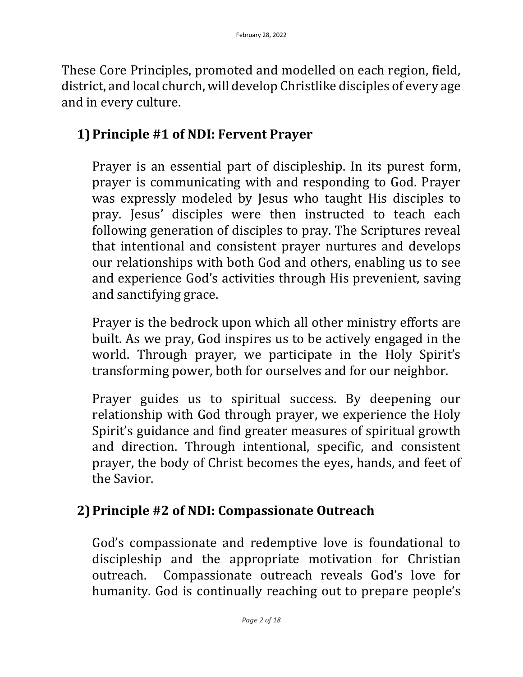These Core Principles, promoted and modelled on each region, field, district, and local church, will develop Christlike disciples of every age and in every culture.

### **1)Principle #1 of NDI: Fervent Prayer**

Prayer is an essential part of discipleship. In its purest form, prayer is communicating with and responding to God. Prayer was expressly modeled by Jesus who taught His disciples to pray. Jesus' disciples were then instructed to teach each following generation of disciples to pray. The Scriptures reveal that intentional and consistent prayer nurtures and develops our relationships with both God and others, enabling us to see and experience God's activities through His prevenient, saving and sanctifying grace.

Prayer is the bedrock upon which all other ministry efforts are built. As we pray, God inspires us to be actively engaged in the world. Through prayer, we participate in the Holy Spirit's transforming power, both for ourselves and for our neighbor.

Prayer guides us to spiritual success. By deepening our relationship with God through prayer, we experience the Holy Spirit's guidance and find greater measures of spiritual growth and direction. Through intentional, specific, and consistent prayer, the body of Christ becomes the eyes, hands, and feet of the Savior.

## **2)Principle #2 of NDI: Compassionate Outreach**

God's compassionate and redemptive love is foundational to discipleship and the appropriate motivation for Christian outreach. Compassionate outreach reveals God's love for humanity. God is continually reaching out to prepare people's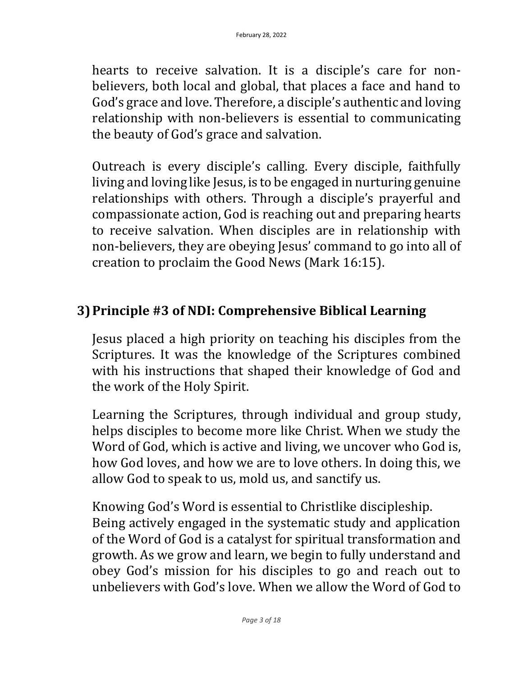hearts to receive salvation. It is a disciple's care for nonbelievers, both local and global, that places a face and hand to God's grace and love. Therefore, a disciple's authentic and loving relationship with non-believers is essential to communicating the beauty of God's grace and salvation.

Outreach is every disciple's calling. Every disciple, faithfully living and loving like Jesus, is to be engaged in nurturing genuine relationships with others. Through a disciple's prayerful and compassionate action, God is reaching out and preparing hearts to receive salvation. When disciples are in relationship with non-believers, they are obeying Jesus' command to go into all of creation to proclaim the Good News (Mark 16:15).

### **3)Principle #3 of NDI: Comprehensive Biblical Learning**

Jesus placed a high priority on teaching his disciples from the Scriptures. It was the knowledge of the Scriptures combined with his instructions that shaped their knowledge of God and the work of the Holy Spirit.

Learning the Scriptures, through individual and group study, helps disciples to become more like Christ. When we study the Word of God, which is active and living, we uncover who God is, how God loves, and how we are to love others. In doing this, we allow God to speak to us, mold us, and sanctify us.

Knowing God's Word is essential to Christlike discipleship. Being actively engaged in the systematic study and application of the Word of God is a catalyst for spiritual transformation and growth. As we grow and learn, we begin to fully understand and obey God's mission for his disciples to go and reach out to unbelievers with God's love. When we allow the Word of God to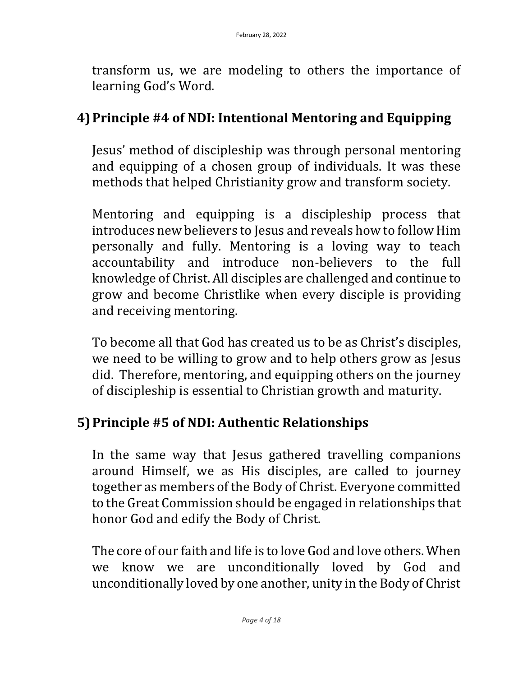transform us, we are modeling to others the importance of learning God's Word.

### **4)Principle #4 of NDI: Intentional Mentoring and Equipping**

Jesus' method of discipleship was through personal mentoring and equipping of a chosen group of individuals. It was these methods that helped Christianity grow and transform society.

Mentoring and equipping is a discipleship process that introduces new believers to Jesus and reveals how to follow Him personally and fully. Mentoring is a loving way to teach accountability and introduce non-believers to the full knowledge of Christ. All disciples are challenged and continue to grow and become Christlike when every disciple is providing and receiving mentoring.

To become all that God has created us to be as Christ's disciples, we need to be willing to grow and to help others grow as Jesus did. Therefore, mentoring, and equipping others on the journey of discipleship is essential to Christian growth and maturity.

## **5)Principle #5 of NDI: Authentic Relationships**

In the same way that Jesus gathered travelling companions around Himself, we as His disciples, are called to journey together as members of the Body of Christ. Everyone committed to the Great Commission should be engaged in relationships that honor God and edify the Body of Christ.

The core of our faith and life is to love God and love others. When we know we are unconditionally loved by God and unconditionally loved by one another, unity in the Body of Christ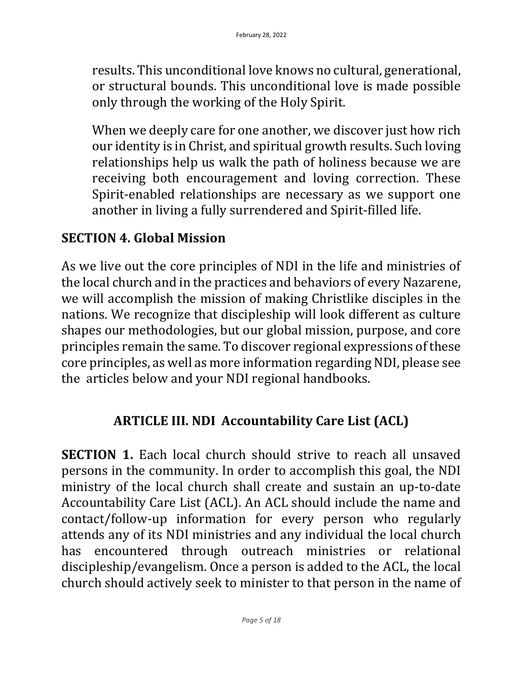results. This unconditional love knows no cultural, generational, or structural bounds. This unconditional love is made possible only through the working of the Holy Spirit.

When we deeply care for one another, we discover just how rich our identity is in Christ, and spiritual growth results. Such loving relationships help us walk the path of holiness because we are receiving both encouragement and loving correction. These Spirit-enabled relationships are necessary as we support one another in living a fully surrendered and Spirit-filled life.

#### **SECTION 4. Global Mission**

As we live out the core principles of NDI in the life and ministries of the local church and in the practices and behaviors of every Nazarene, we will accomplish the mission of making Christlike disciples in the nations. We recognize that discipleship will look different as culture shapes our methodologies, but our global mission, purpose, and core principles remain the same. To discover regional expressions of these core principles, as well as more information regarding NDI, please see the articles below and your NDI regional handbooks.

### **ARTICLE III. NDI Accountability Care List (ACL)**

**SECTION 1.** Each local church should strive to reach all unsaved persons in the community. In order to accomplish this goal, the NDI ministry of the local church shall create and sustain an up-to-date Accountability Care List (ACL). An ACL should include the name and contact/follow-up information for every person who regularly attends any of its NDI ministries and any individual the local church has encountered through outreach ministries or relational discipleship/evangelism. Once a person is added to the ACL, the local church should actively seek to minister to that person in the name of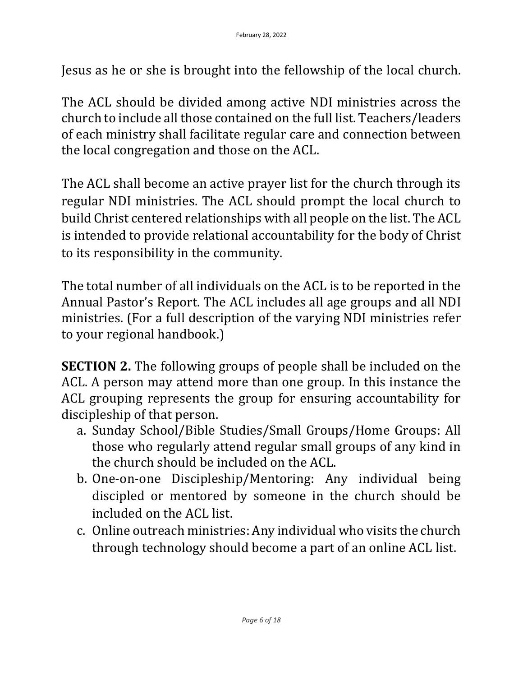Jesus as he or she is brought into the fellowship of the local church.

The ACL should be divided among active NDI ministries across the church to include all those contained on the full list. Teachers/leaders of each ministry shall facilitate regular care and connection between the local congregation and those on the ACL.

The ACL shall become an active prayer list for the church through its regular NDI ministries. The ACL should prompt the local church to build Christ centered relationships with all people on the list. The ACL is intended to provide relational accountability for the body of Christ to its responsibility in the community.

The total number of all individuals on the ACL is to be reported in the Annual Pastor's Report. The ACL includes all age groups and all NDI ministries. (For a full description of the varying NDI ministries refer to your regional handbook.)

**SECTION 2.** The following groups of people shall be included on the ACL. A person may attend more than one group. In this instance the ACL grouping represents the group for ensuring accountability for discipleship of that person.

- a. Sunday School/Bible Studies/Small Groups/Home Groups: All those who regularly attend regular small groups of any kind in the church should be included on the ACL.
- b. One-on-one Discipleship/Mentoring: Any individual being discipled or mentored by someone in the church should be included on the ACL list.
- c. Online outreach ministries: Any individual who visits the church through technology should become a part of an online ACL list.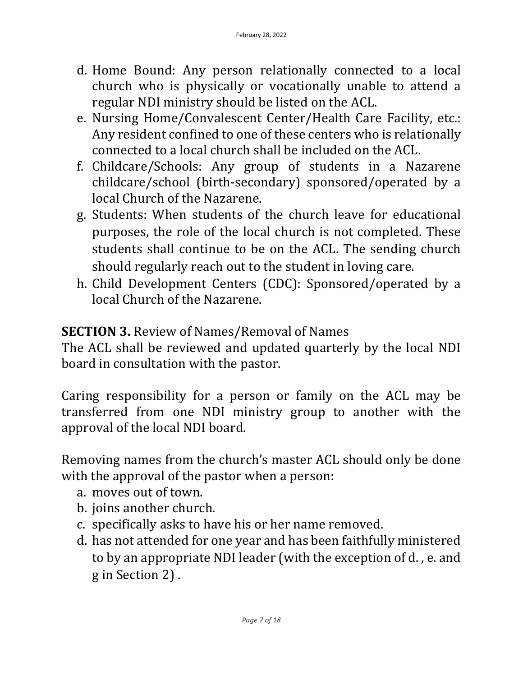- d. Home Bound: Any person relationally connected to a local church who is physically or vocationally unable to attend a regular NDI ministry should be listed on the ACL.
- e. Nursing Home/Convalescent Center/Health Care Facility, etc.: Any resident confined to one of these centers who is relationally connected to a local church shall be included on the ACL.
- f. Childcare/Schools: Any group of students in a Nazarene childcare/school (birth-secondary) sponsored/operated by a local Church of the Nazarene.
- g. Students: When students of the church leave for educational purposes, the role of the local church is not completed. These students shall continue to be on the ACL. The sending church should regularly reach out to the student in loving care.
- h. Child Development Centers (CDC): Sponsored/operated by a local Church of the Nazarene.

### **SECTION 3.** Review of Names/Removal of Names

The ACL shall be reviewed and updated quarterly by the local NDI board in consultation with the pastor.

Caring responsibility for a person or family on the ACL may be transferred from one NDI ministry group to another with the approval of the local NDI board.

Removing names from the church's master ACL should only be done with the approval of the pastor when a person:

- a. moves out of town.
- b. joins another church.
- c. specifically asks to have his or her name removed.
- d. has not attended for one year and has been faithfully ministered to by an appropriate NDI leader (with the exception of d. , e. and g in Section 2) .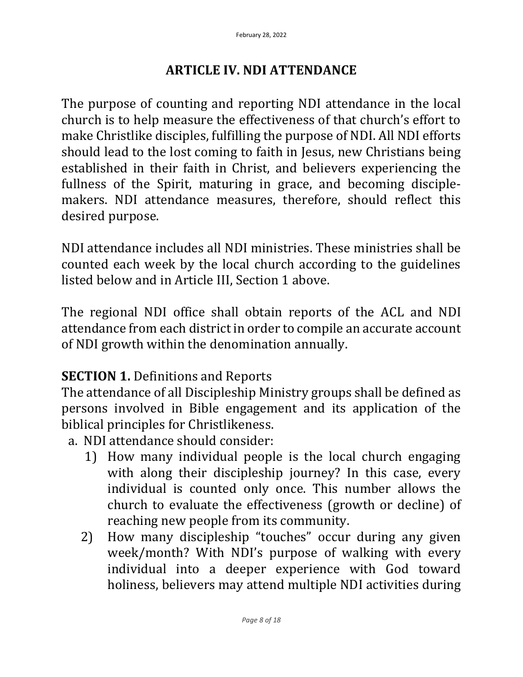### **ARTICLE IV. NDI ATTENDANCE**

The purpose of counting and reporting NDI attendance in the local church is to help measure the effectiveness of that church's effort to make Christlike disciples, fulfilling the purpose of NDI. All NDI efforts should lead to the lost coming to faith in Jesus, new Christians being established in their faith in Christ, and believers experiencing the fullness of the Spirit, maturing in grace, and becoming disciplemakers. NDI attendance measures, therefore, should reflect this desired purpose.

NDI attendance includes all NDI ministries. These ministries shall be counted each week by the local church according to the guidelines listed below and in Article III, Section 1 above.

The regional NDI office shall obtain reports of the ACL and NDI attendance from each district in order to compile an accurate account of NDI growth within the denomination annually.

### **SECTION 1. Definitions and Reports**

The attendance of all Discipleship Ministry groups shall be defined as persons involved in Bible engagement and its application of the biblical principles for Christlikeness.

- a. NDI attendance should consider:
	- 1) How many individual people is the local church engaging with along their discipleship journey? In this case, every individual is counted only once. This number allows the church to evaluate the effectiveness (growth or decline) of reaching new people from its community.
	- 2) How many discipleship "touches" occur during any given week/month? With NDI's purpose of walking with every individual into a deeper experience with God toward holiness, believers may attend multiple NDI activities during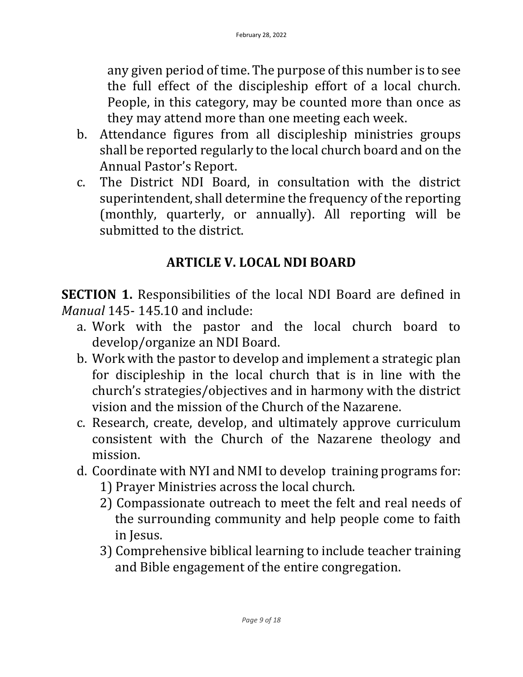any given period of time. The purpose of this number is to see the full effect of the discipleship effort of a local church. People, in this category, may be counted more than once as they may attend more than one meeting each week.

- b. Attendance figures from all discipleship ministries groups shall be reported regularly to the local church board and on the Annual Pastor's Report.
- c. The District NDI Board, in consultation with the district superintendent, shall determine the frequency of the reporting (monthly, quarterly, or annually). All reporting will be submitted to the district.

## **ARTICLE V. LOCAL NDI BOARD**

**SECTION 1.** Responsibilities of the local NDI Board are defined in *Manual* 145- 145.10 and include:

- a. Work with the pastor and the local church board to develop/organize an NDI Board.
- b. Work with the pastor to develop and implement a strategic plan for discipleship in the local church that is in line with the church's strategies/objectives and in harmony with the district vision and the mission of the Church of the Nazarene.
- c. Research, create, develop, and ultimately approve curriculum consistent with the Church of the Nazarene theology and mission.
- d. Coordinate with NYI and NMI to develop training programs for:
	- 1) Prayer Ministries across the local church.
	- 2) Compassionate outreach to meet the felt and real needs of the surrounding community and help people come to faith in Jesus.
	- 3) Comprehensive biblical learning to include teacher training and Bible engagement of the entire congregation.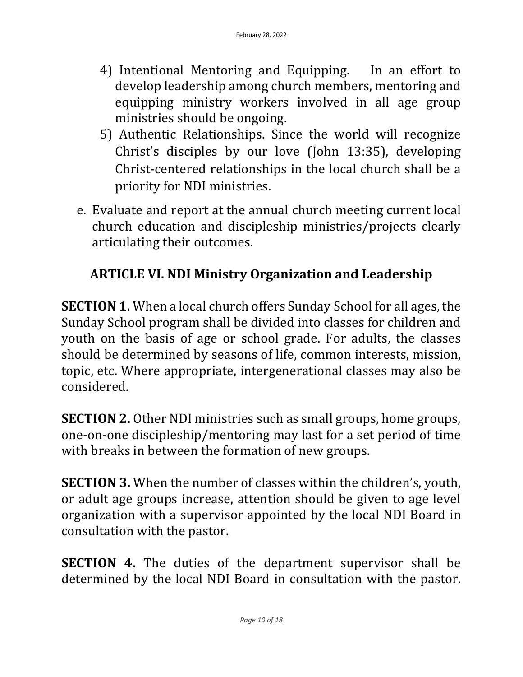- 4) Intentional Mentoring and Equipping. In an effort to develop leadership among church members, mentoring and equipping ministry workers involved in all age group ministries should be ongoing.
- 5) Authentic Relationships. Since the world will recognize Christ's disciples by our love (John 13:35), developing Christ-centered relationships in the local church shall be a priority for NDI ministries.
- e. Evaluate and report at the annual church meeting current local church education and discipleship ministries/projects clearly articulating their outcomes.

## **ARTICLE VI. NDI Ministry Organization and Leadership**

**SECTION 1.** When a local church offers Sunday School for all ages, the Sunday School program shall be divided into classes for children and youth on the basis of age or school grade. For adults, the classes should be determined by seasons of life, common interests, mission, topic, etc. Where appropriate, intergenerational classes may also be considered.

**SECTION 2.** Other NDI ministries such as small groups, home groups, one-on-one discipleship/mentoring may last for a set period of time with breaks in between the formation of new groups.

**SECTION 3.** When the number of classes within the children's, youth, or adult age groups increase, attention should be given to age level organization with a supervisor appointed by the local NDI Board in consultation with the pastor.

**SECTION 4.** The duties of the department supervisor shall be determined by the local NDI Board in consultation with the pastor.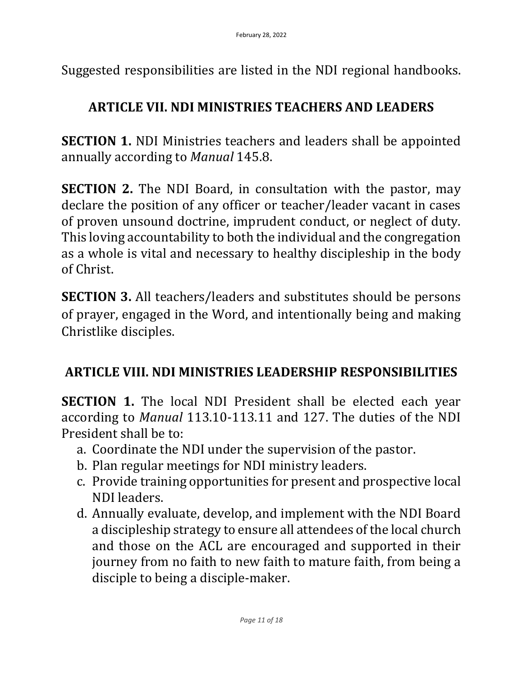Suggested responsibilities are listed in the NDI regional handbooks.

#### **ARTICLE VII. NDI MINISTRIES TEACHERS AND LEADERS**

**SECTION 1.** NDI Ministries teachers and leaders shall be appointed annually according to *Manual* 145.8.

**SECTION 2.** The NDI Board, in consultation with the pastor, may declare the position of any officer or teacher/leader vacant in cases of proven unsound doctrine, imprudent conduct, or neglect of duty. This loving accountability to both the individual and the congregation as a whole is vital and necessary to healthy discipleship in the body of Christ.

**SECTION 3.** All teachers/leaders and substitutes should be persons of prayer, engaged in the Word, and intentionally being and making Christlike disciples.

### **ARTICLE VIII. NDI MINISTRIES LEADERSHIP RESPONSIBILITIES**

**SECTION 1.** The local NDI President shall be elected each year according to *Manual* 113.10-113.11 and 127. The duties of the NDI President shall be to:

- a. Coordinate the NDI under the supervision of the pastor.
- b. Plan regular meetings for NDI ministry leaders.
- c. Provide training opportunities for present and prospective local NDI leaders.
- d. Annually evaluate, develop, and implement with the NDI Board a discipleship strategy to ensure all attendees of the local church and those on the ACL are encouraged and supported in their journey from no faith to new faith to mature faith, from being a disciple to being a disciple-maker.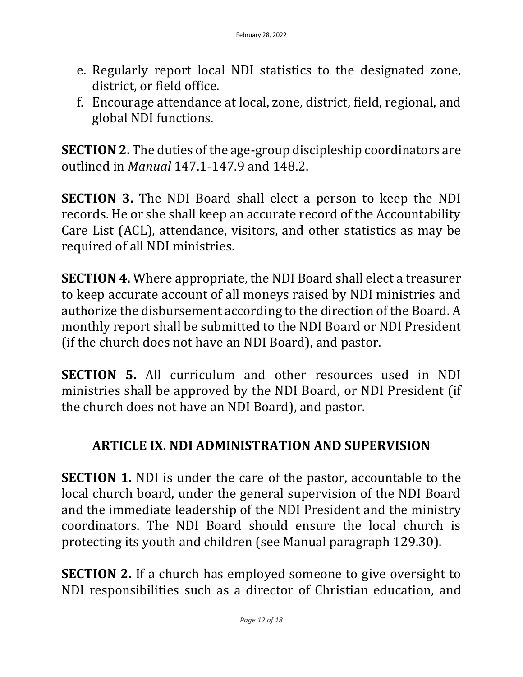- e. Regularly report local NDI statistics to the designated zone, district, or field office.
- f. Encourage attendance at local, zone, district, field, regional, and global NDI functions.

**SECTION 2.** The duties of the age-group discipleship coordinators are outlined in *Manual* 147.1-147.9 and 148.2.

**SECTION 3.** The NDI Board shall elect a person to keep the NDI records. He or she shall keep an accurate record of the Accountability Care List (ACL), attendance, visitors, and other statistics as may be required of all NDI ministries.

**SECTION 4.** Where appropriate, the NDI Board shall elect a treasurer to keep accurate account of all moneys raised by NDI ministries and authorize the disbursement according to the direction of the Board. A monthly report shall be submitted to the NDI Board or NDI President (if the church does not have an NDI Board), and pastor.

**SECTION 5.** All curriculum and other resources used in NDI ministries shall be approved by the NDI Board, or NDI President (if the church does not have an NDI Board), and pastor.

### **ARTICLE IX. NDI ADMINISTRATION AND SUPERVISION**

**SECTION 1.** NDI is under the care of the pastor, accountable to the local church board, under the general supervision of the NDI Board and the immediate leadership of the NDI President and the ministry coordinators. The NDI Board should ensure the local church is protecting its youth and children (see Manual paragraph 129.30).

**SECTION 2.** If a church has employed someone to give oversight to NDI responsibilities such as a director of Christian education, and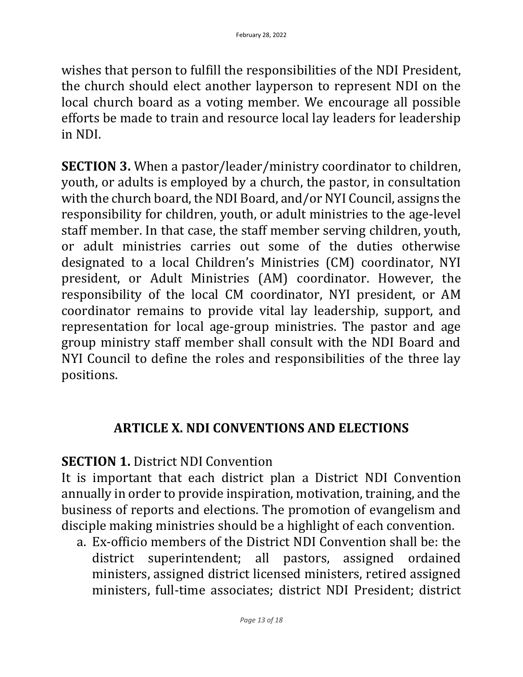wishes that person to fulfill the responsibilities of the NDI President, the church should elect another layperson to represent NDI on the local church board as a voting member. We encourage all possible efforts be made to train and resource local lay leaders for leadership in NDI.

**SECTION 3.** When a pastor/leader/ministry coordinator to children, youth, or adults is employed by a church, the pastor, in consultation with the church board, the NDI Board, and/or NYI Council, assigns the responsibility for children, youth, or adult ministries to the age-level staff member. In that case, the staff member serving children, youth, or adult ministries carries out some of the duties otherwise designated to a local Children's Ministries (CM) coordinator, NYI president, or Adult Ministries (AM) coordinator. However, the responsibility of the local CM coordinator, NYI president, or AM coordinator remains to provide vital lay leadership, support, and representation for local age-group ministries. The pastor and age group ministry staff member shall consult with the NDI Board and NYI Council to define the roles and responsibilities of the three lay positions.

#### **ARTICLE X. NDI CONVENTIONS AND ELECTIONS**

### **SECTION 1. District NDI Convention**

It is important that each district plan a District NDI Convention annually in order to provide inspiration, motivation, training, and the business of reports and elections. The promotion of evangelism and disciple making ministries should be a highlight of each convention.

a. Ex-officio members of the District NDI Convention shall be: the district superintendent; all pastors, assigned ordained ministers, assigned district licensed ministers, retired assigned ministers, full-time associates; district NDI President; district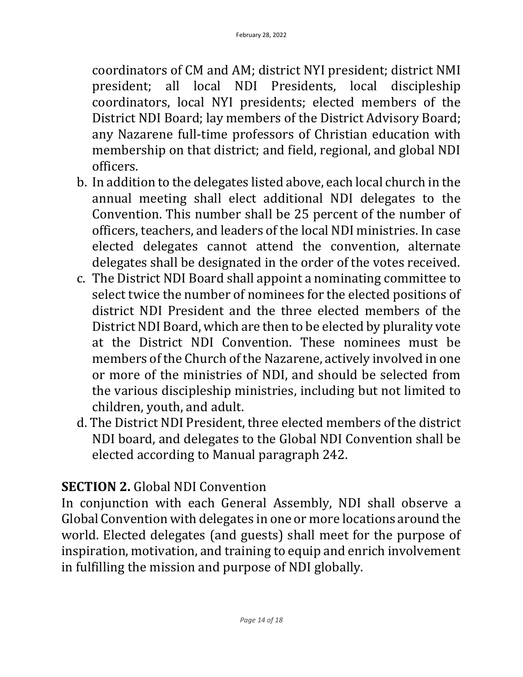coordinators of CM and AM; district NYI president; district NMI president; all local NDI Presidents, local discipleship coordinators, local NYI presidents; elected members of the District NDI Board; lay members of the District Advisory Board; any Nazarene full-time professors of Christian education with membership on that district; and field, regional, and global NDI officers.

- b. In addition to the delegates listed above, each local church in the annual meeting shall elect additional NDI delegates to the Convention. This number shall be 25 percent of the number of officers, teachers, and leaders of the local NDI ministries. In case elected delegates cannot attend the convention, alternate delegates shall be designated in the order of the votes received.
- c. The District NDI Board shall appoint a nominating committee to select twice the number of nominees for the elected positions of district NDI President and the three elected members of the District NDI Board, which are then to be elected by plurality vote at the District NDI Convention. These nominees must be members of the Church of the Nazarene, actively involved in one or more of the ministries of NDI, and should be selected from the various discipleship ministries, including but not limited to children, youth, and adult.
- d. The District NDI President, three elected members of the district NDI board, and delegates to the Global NDI Convention shall be elected according to Manual paragraph 242.

## **SECTION 2.** Global NDI Convention

In conjunction with each General Assembly, NDI shall observe a Global Convention with delegates in one or more locations around the world. Elected delegates (and guests) shall meet for the purpose of inspiration, motivation, and training to equip and enrich involvement in fulfilling the mission and purpose of NDI globally.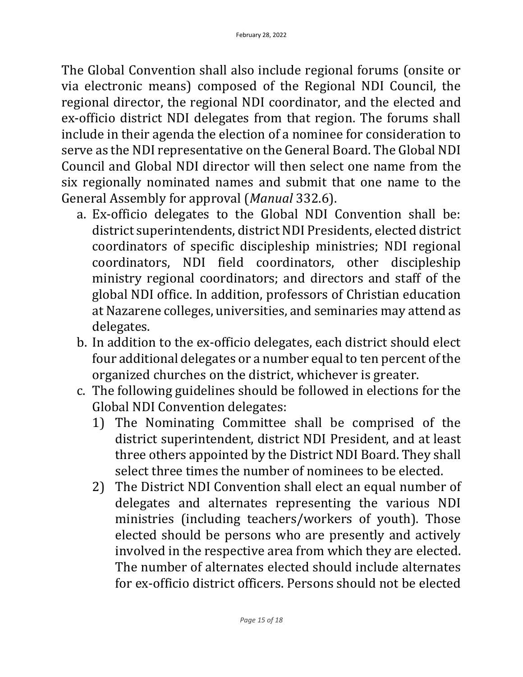The Global Convention shall also include regional forums (onsite or via electronic means) composed of the Regional NDI Council, the regional director, the regional NDI coordinator, and the elected and ex-officio district NDI delegates from that region. The forums shall include in their agenda the election of a nominee for consideration to serve as the NDI representative on the General Board. The Global NDI Council and Global NDI director will then select one name from the six regionally nominated names and submit that one name to the General Assembly for approval (*Manual* 332.6).

- a. Ex-officio delegates to the Global NDI Convention shall be: district superintendents, district NDI Presidents, elected district coordinators of specific discipleship ministries; NDI regional coordinators, NDI field coordinators, other discipleship ministry regional coordinators; and directors and staff of the global NDI office. In addition, professors of Christian education at Nazarene colleges, universities, and seminaries may attend as delegates.
- b. In addition to the ex-officio delegates, each district should elect four additional delegates or a number equal to ten percent of the organized churches on the district, whichever is greater.
- c. The following guidelines should be followed in elections for the Global NDI Convention delegates:
	- 1) The Nominating Committee shall be comprised of the district superintendent, district NDI President, and at least three others appointed by the District NDI Board. They shall select three times the number of nominees to be elected.
	- 2) The District NDI Convention shall elect an equal number of delegates and alternates representing the various NDI ministries (including teachers/workers of youth). Those elected should be persons who are presently and actively involved in the respective area from which they are elected. The number of alternates elected should include alternates for ex-officio district officers. Persons should not be elected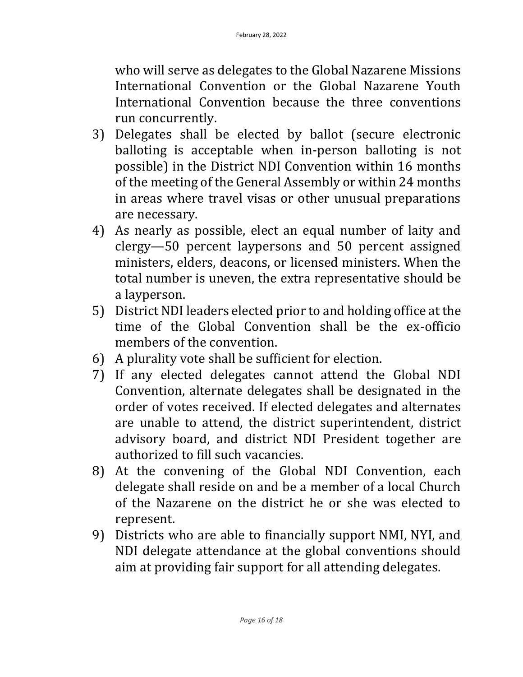who will serve as delegates to the Global Nazarene Missions International Convention or the Global Nazarene Youth International Convention because the three conventions run concurrently.

- 3) Delegates shall be elected by ballot (secure electronic balloting is acceptable when in-person balloting is not possible) in the District NDI Convention within 16 months of the meeting of the General Assembly or within 24 months in areas where travel visas or other unusual preparations are necessary.
- 4) As nearly as possible, elect an equal number of laity and clergy—50 percent laypersons and 50 percent assigned ministers, elders, deacons, or licensed ministers. When the total number is uneven, the extra representative should be a layperson.
- 5) District NDI leaders elected prior to and holding office at the time of the Global Convention shall be the ex-officio members of the convention.
- 6) A plurality vote shall be sufficient for election.
- 7) If any elected delegates cannot attend the Global NDI Convention, alternate delegates shall be designated in the order of votes received. If elected delegates and alternates are unable to attend, the district superintendent, district advisory board, and district NDI President together are authorized to fill such vacancies.
- 8) At the convening of the Global NDI Convention, each delegate shall reside on and be a member of a local Church of the Nazarene on the district he or she was elected to represent.
- 9) Districts who are able to financially support NMI, NYI, and NDI delegate attendance at the global conventions should aim at providing fair support for all attending delegates.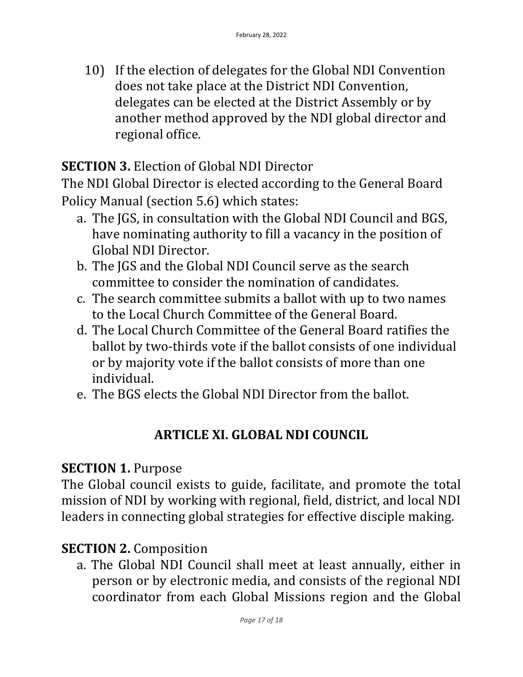10) If the election of delegates for the Global NDI Convention does not take place at the District NDI Convention, delegates can be elected at the District Assembly or by another method approved by the NDI global director and regional office.

## **SECTION 3.** Election of Global NDI Director

The NDI Global Director is elected according to the General Board Policy Manual (section 5.6) which states:

- a. The JGS, in consultation with the Global NDI Council and BGS, have nominating authority to fill a vacancy in the position of Global NDI Director.
- b. The JGS and the Global NDI Council serve as the search committee to consider the nomination of candidates.
- c. The search committee submits a ballot with up to two names to the Local Church Committee of the General Board.
- d. The Local Church Committee of the General Board ratifies the ballot by two-thirds vote if the ballot consists of one individual or by majority vote if the ballot consists of more than one individual.
- e. The BGS elects the Global NDI Director from the ballot.

## **ARTICLE XI. GLOBAL NDI COUNCIL**

### **SECTION 1. Purpose**

The Global council exists to guide, facilitate, and promote the total mission of NDI by working with regional, field, district, and local NDI leaders in connecting global strategies for effective disciple making.

### **SECTION 2. Composition**

a. The Global NDI Council shall meet at least annually, either in person or by electronic media, and consists of the regional NDI coordinator from each Global Missions region and the Global